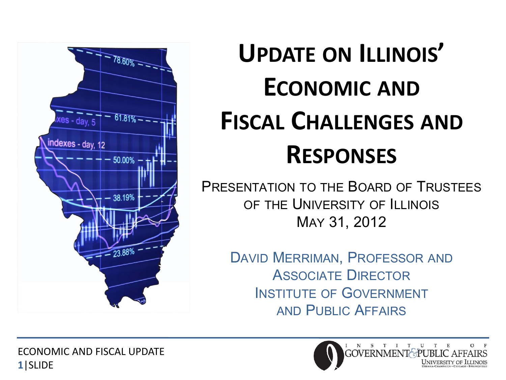

## **UPDATE ON ILLINOIS' ECONOMIC AND FISCAL CHALLENGES AND RESPONSES**

PRESENTATION TO THE BOARD OF TRUSTEES OF THE UNIVERSITY OF ILLINOIS MAY 31, 2012

> DAVID MERRIMAN, PROFESSOR AND ASSOCIATE DIRECTOR INSTITUTE OF GOVERNMENT AND PUBLIC AFFAIRS

ECONOMIC AND FISCAL UPDATE **1**|SLIDE

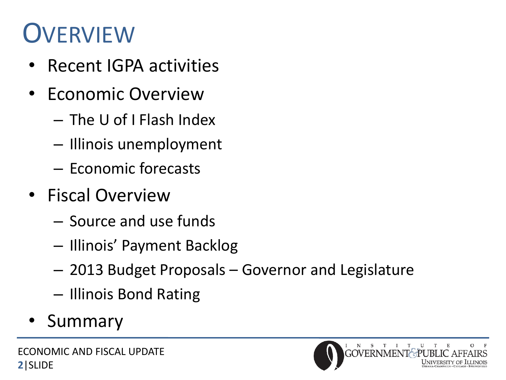#### **OVERVIEW**

- Recent IGPA activities
- Economic Overview
	- The U of I Flash Index
	- Illinois unemployment
	- Economic forecasts
- Fiscal Overview
	- Source and use funds
	- Illinois' Payment Backlog
	- 2013 Budget Proposals Governor and Legislature
	- Illinois Bond Rating
- **Summary**

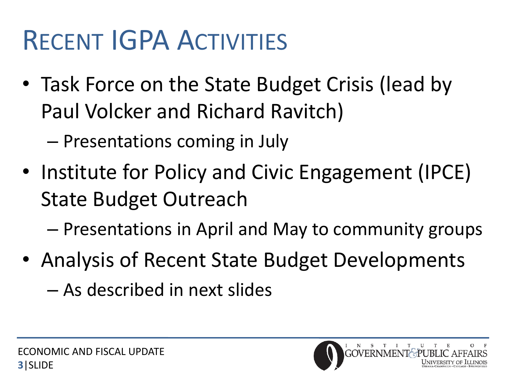#### RECENT IGPA ACTIVITIES

• Task Force on the State Budget Crisis (lead by Paul Volcker and Richard Ravitch)

– Presentations coming in July

• Institute for Policy and Civic Engagement (IPCE) State Budget Outreach

– Presentations in April and May to community groups

- Analysis of Recent State Budget Developments
	- As described in next slides

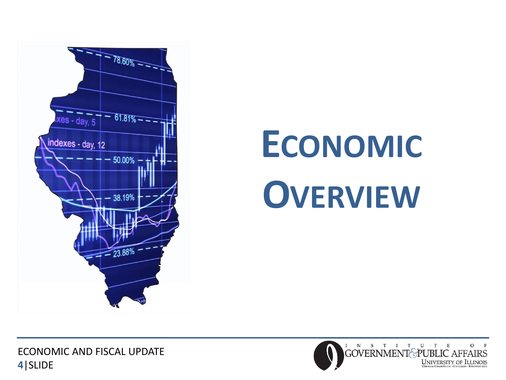

# **ECONOMIC OVERVIEW**

ECONOMIC AND FISCAL UPDATE **4**|SLIDE

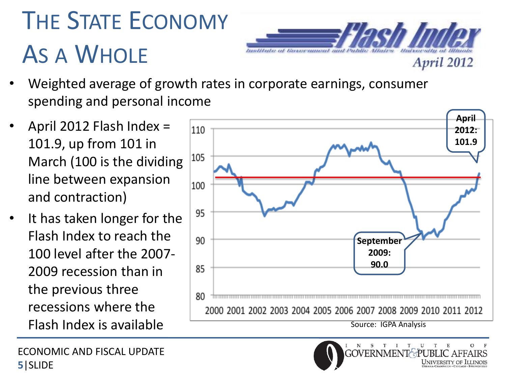## THE STATE ECONOMY AS A WHOLE



- Weighted average of growth rates in corporate earnings, consumer spending and personal income
- April 2012 Flash Index = 101.9, up from 101 in March (100 is the dividing line between expansion and contraction)
- It has taken longer for the Flash Index to reach the 100 level after the 2007- 2009 recession than in the previous three recessions where the

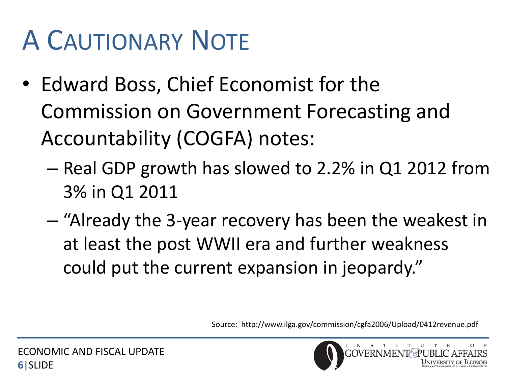## A CAUTIONARY NOTE

- Edward Boss, Chief Economist for the Commission on Government Forecasting and Accountability (COGFA) notes:
	- Real GDP growth has slowed to 2.2% in Q1 2012 from 3% in Q1 2011
	- "Already the 3-year recovery has been the weakest in at least the post WWII era and further weakness could put the current expansion in jeopardy."

Source: http://www.ilga.gov/commission/cgfa2006/Upload/0412revenue.pdf

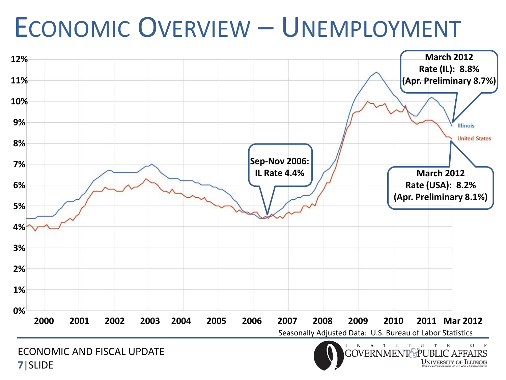#### ECONOMIC OVERVIEW – UNEMPLOYMENT



**7**|SLIDE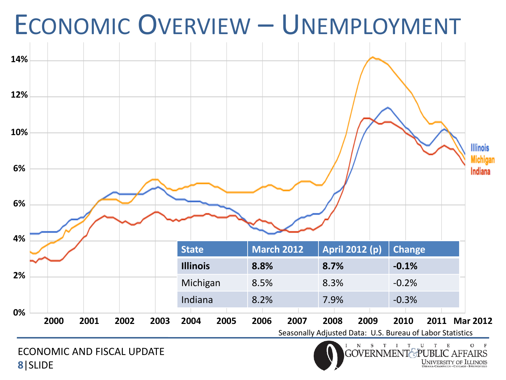

ECONOMIC AND FISCAL UPDATE **8**|SLIDE

#### ${\bf S}$   ${\bf T}$  ${\bf U}$  ${\bf N}$  $\mathbf T$ O **GOVERNMEN**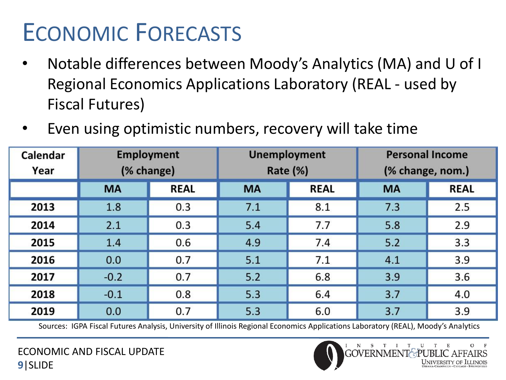#### ECONOMIC FORECASTS

- Notable differences between Moody's Analytics (MA) and U of I Regional Economics Applications Laboratory (REAL - used by Fiscal Futures)
- Even using optimistic numbers, recovery will take time

| Calendar<br>Year | <b>Employment</b><br>(% change) |             | <b>Unemployment</b><br>Rate (%) |             | <b>Personal Income</b><br>(% change, nom.) |             |
|------------------|---------------------------------|-------------|---------------------------------|-------------|--------------------------------------------|-------------|
|                  | <b>MA</b>                       | <b>REAL</b> | <b>MA</b>                       | <b>REAL</b> | <b>MA</b>                                  | <b>REAL</b> |
| 2013             | 1.8                             | 0.3         | 7.1                             | 8.1         | 7.3                                        | 2.5         |
| 2014             | 2.1                             | 0.3         | 5.4                             | 7.7         | 5.8                                        | 2.9         |
| 2015             | 1.4                             | 0.6         | 4.9                             | 7.4         | 5.2                                        | 3.3         |
| 2016             | 0.0                             | 0.7         | 5.1                             | 7.1         | 4.1                                        | 3.9         |
| 2017             | $-0.2$                          | 0.7         | 5.2                             | 6.8         | 3.9                                        | 3.6         |
| 2018             | $-0.1$                          | 0.8         | 5.3                             | 6.4         | 3.7                                        | 4.0         |
| 2019             | 0.0                             | 0.7         | 5.3                             | 6.0         | 3.7                                        | 3.9         |

Sources: IGPA Fiscal Futures Analysis, University of Illinois Regional Economics Applications Laboratory (REAL), Moody's Analytics

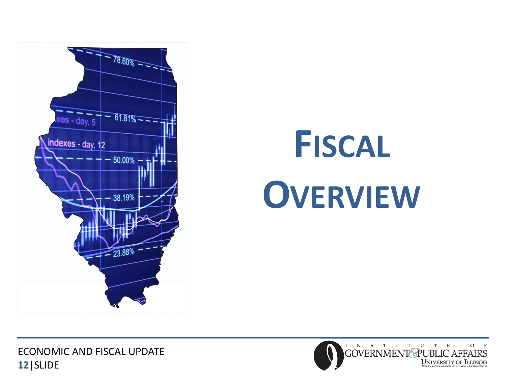

# **FISCAL OVERVIEW**

ECONOMIC AND FISCAL UPDATE **12**|SLIDE

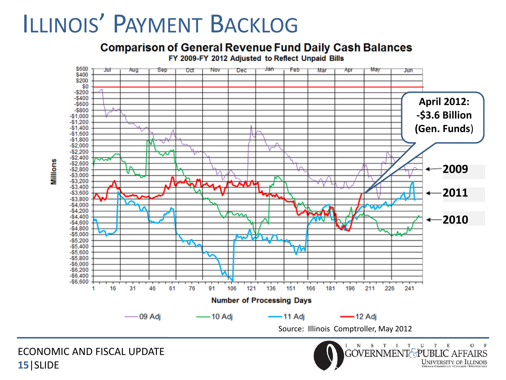#### ILLINOIS' PAYMENT BACKLOG

#### **Comparison of General Revenue Fund Daily Cash Balances**

FY 2009-FY 2012 Adjusted to Reflect Unpaid Bills



UNIVERSITY OF ILLINOIS

Millions

**15**|SLIDE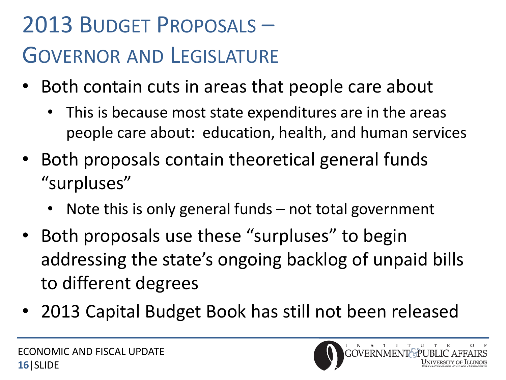#### 2013 BUDGET PROPOSALS – GOVERNOR AND LEGISLATURE

- Both contain cuts in areas that people care about
	- This is because most state expenditures are in the areas people care about: education, health, and human services
- Both proposals contain theoretical general funds "surpluses"
	- Note this is only general funds  $-$  not total government
- Both proposals use these "surpluses" to begin addressing the state's ongoing backlog of unpaid bills to different degrees
- 2013 Capital Budget Book has still not been released

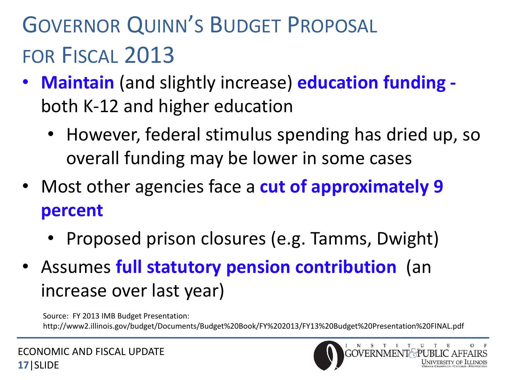#### GOVERNOR QUINN'S BUDGET PROPOSAL FOR FISCAL 2013

- **Maintain** (and slightly increase) **education funding**  both K-12 and higher education
	- However, federal stimulus spending has dried up, so overall funding may be lower in some cases
- Most other agencies face a **cut of approximately 9 percent**
	- Proposed prison closures (e.g. Tamms, Dwight)
- Assumes **full statutory pension contribution** (an increase over last year)

Source: FY 2013 IMB Budget Presentation: http://www2.illinois.gov/budget/Documents/Budget%20Book/FY%202013/FY13%20Budget%20Presentation%20FINAL.pdf

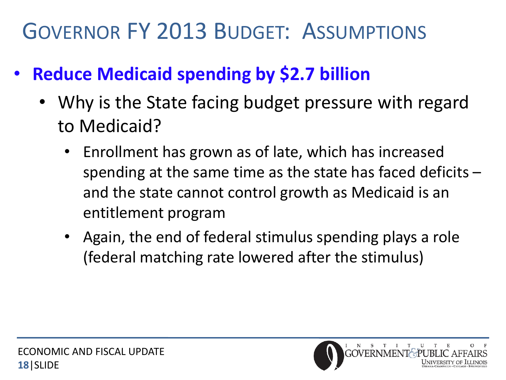#### GOVERNOR FY 2013 BUDGET: ASSUMPTIONS

- **Reduce Medicaid spending by \$2.7 billion**
	- Why is the State facing budget pressure with regard to Medicaid?
		- Enrollment has grown as of late, which has increased spending at the same time as the state has faced deficits – and the state cannot control growth as Medicaid is an entitlement program
		- Again, the end of federal stimulus spending plays a role (federal matching rate lowered after the stimulus)

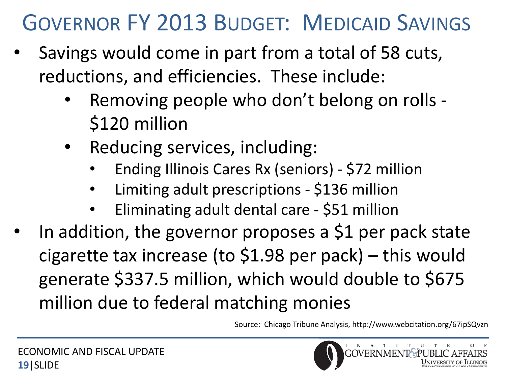#### GOVERNOR FY 2013 BUDGET: MEDICAID SAVINGS

- Savings would come in part from a total of 58 cuts, reductions, and efficiencies. These include:
	- Removing people who don't belong on rolls \$120 million
	- Reducing services, including:
		- Ending Illinois Cares Rx (seniors) \$72 million
		- Limiting adult prescriptions \$136 million
		- Eliminating adult dental care \$51 million
- In addition, the governor proposes a \$1 per pack state cigarette tax increase (to \$1.98 per pack) – this would generate \$337.5 million, which would double to \$675 million due to federal matching monies

Source: Chicago Tribune Analysis, http://www.webcitation.org/67ipSQvzn

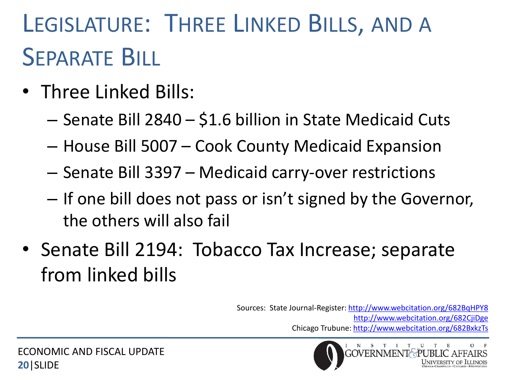#### LEGISLATURE: THREE LINKED BILLS, AND A SEPARATE BILL

- Three Linked Bills:
	- Senate Bill 2840 \$1.6 billion in State Medicaid Cuts
	- House Bill 5007 Cook County Medicaid Expansion
	- Senate Bill 3397 Medicaid carry-over restrictions
	- If one bill does not pass or isn't signed by the Governor, the others will also fail
- Senate Bill 2194: Tobacco Tax Increase; separate from linked bills

Sources: State Journal-Register: <http://www.webcitation.org/682BqHPY8> <http://www.webcitation.org/682CjiDge> Chicago Trubune: <http://www.webcitation.org/682BxkzTs>

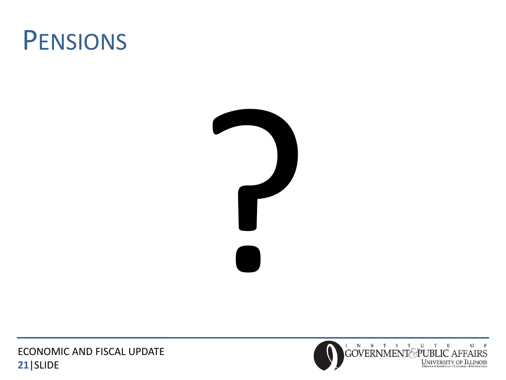



ECONOMIC AND FISCAL UPDATE **21**|SLIDE

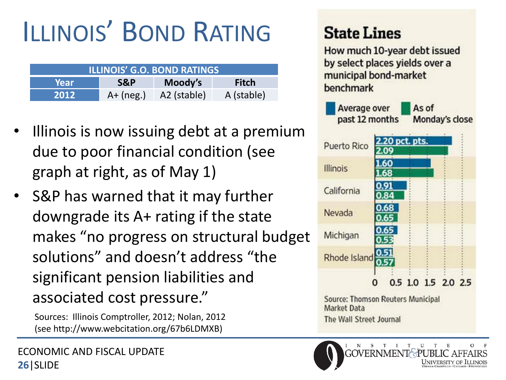#### ILLINOIS' BOND RATING

| <b>ILLINOIS' G.O. BOND RATINGS</b> |             |             |            |  |  |  |  |  |
|------------------------------------|-------------|-------------|------------|--|--|--|--|--|
| Year                               | S&P         | Moody's     | Fitch      |  |  |  |  |  |
| 2012                               | $A+$ (neg.) | A2 (stable) | A (stable) |  |  |  |  |  |

- Illinois is now issuing debt at a premium due to poor financial condition (see graph at right, as of May 1)
- S&P has warned that it may further downgrade its A+ rating if the state makes "no progress on structural budget solutions" and doesn't address "the significant pension liabilities and associated cost pressure."

Sources: Illinois Comptroller, 2012; Nolan, 2012 (see http://www.webcitation.org/67b6LDMXB)

#### **State Lines**

How much 10-year debt issued by select places yields over a municipal bond-market benchmark



The Wall Street Journal

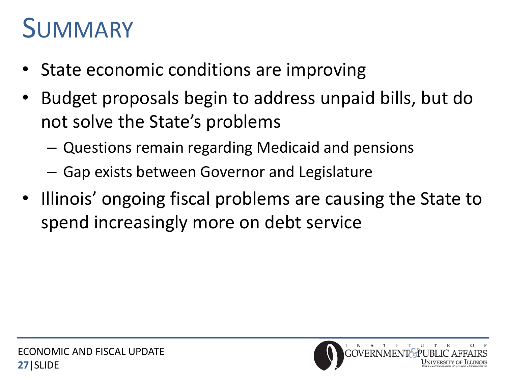#### SUMMARY

- State economic conditions are improving
- Budget proposals begin to address unpaid bills, but do not solve the State's problems
	- Questions remain regarding Medicaid and pensions
	- Gap exists between Governor and Legislature
- Illinois' ongoing fiscal problems are causing the State to spend increasingly more on debt service